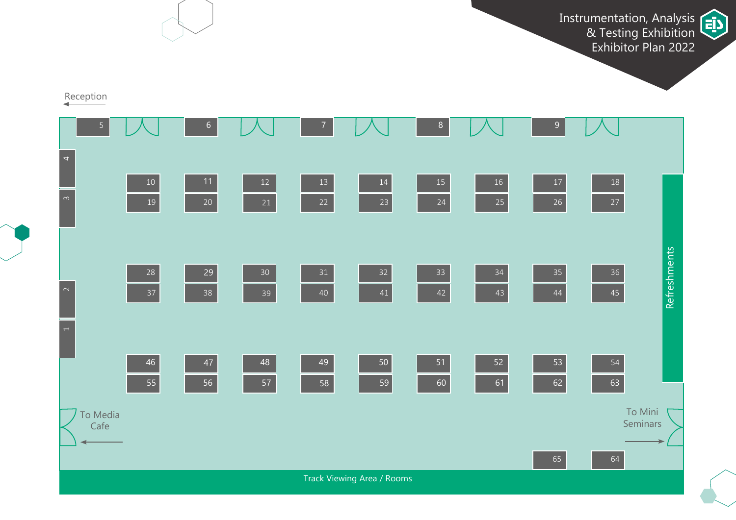Instrumentation, Analysis & Testing Exhibition Exhibitor Plan 2022



Reception